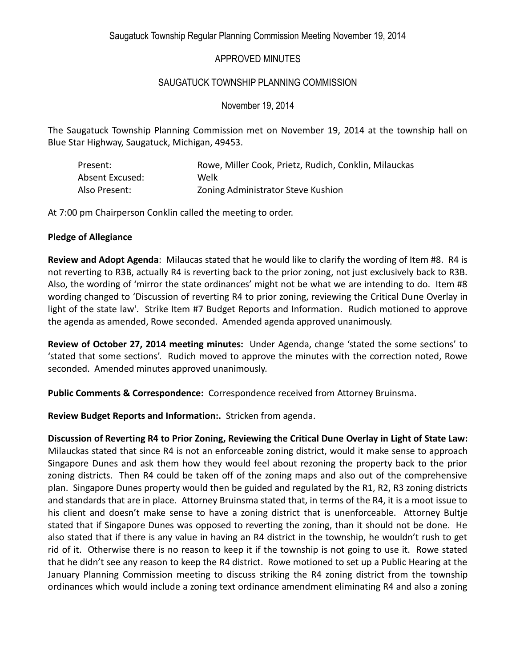Saugatuck Township Regular Planning Commission Meeting November 19, 2014

# APPROVED MINUTES

# SAUGATUCK TOWNSHIP PLANNING COMMISSION

November 19, 2014

The Saugatuck Township Planning Commission met on November 19, 2014 at the township hall on Blue Star Highway, Saugatuck, Michigan, 49453.

| Present:        | Rowe, Miller Cook, Prietz, Rudich, Conklin, Milauckas |
|-----------------|-------------------------------------------------------|
| Absent Excused: | Welk                                                  |
| Also Present:   | Zoning Administrator Steve Kushion                    |

At 7:00 pm Chairperson Conklin called the meeting to order.

#### **Pledge of Allegiance**

**Review and Adopt Agenda**: Milaucas stated that he would like to clarify the wording of Item #8. R4 is not reverting to R3B, actually R4 is reverting back to the prior zoning, not just exclusively back to R3B. Also, the wording of 'mirror the state ordinances' might not be what we are intending to do. Item #8 wording changed to 'Discussion of reverting R4 to prior zoning, reviewing the Critical Dune Overlay in light of the state law'. Strike Item #7 Budget Reports and Information. Rudich motioned to approve the agenda as amended, Rowe seconded. Amended agenda approved unanimously.

**Review of October 27, 2014 meeting minutes:** Under Agenda, change 'stated the some sections' to 'stated that some sections'. Rudich moved to approve the minutes with the correction noted, Rowe seconded. Amended minutes approved unanimously.

**Public Comments & Correspondence:** Correspondence received from Attorney Bruinsma.

**Review Budget Reports and Information:.** Stricken from agenda.

**Discussion of Reverting R4 to Prior Zoning, Reviewing the Critical Dune Overlay in Light of State Law:**  Milauckas stated that since R4 is not an enforceable zoning district, would it make sense to approach Singapore Dunes and ask them how they would feel about rezoning the property back to the prior zoning districts. Then R4 could be taken off of the zoning maps and also out of the comprehensive plan. Singapore Dunes property would then be guided and regulated by the R1, R2, R3 zoning districts and standards that are in place. Attorney Bruinsma stated that, in terms of the R4, it is a moot issue to his client and doesn't make sense to have a zoning district that is unenforceable. Attorney Bultje stated that if Singapore Dunes was opposed to reverting the zoning, than it should not be done. He also stated that if there is any value in having an R4 district in the township, he wouldn't rush to get rid of it. Otherwise there is no reason to keep it if the township is not going to use it. Rowe stated that he didn't see any reason to keep the R4 district. Rowe motioned to set up a Public Hearing at the January Planning Commission meeting to discuss striking the R4 zoning district from the township ordinances which would include a zoning text ordinance amendment eliminating R4 and also a zoning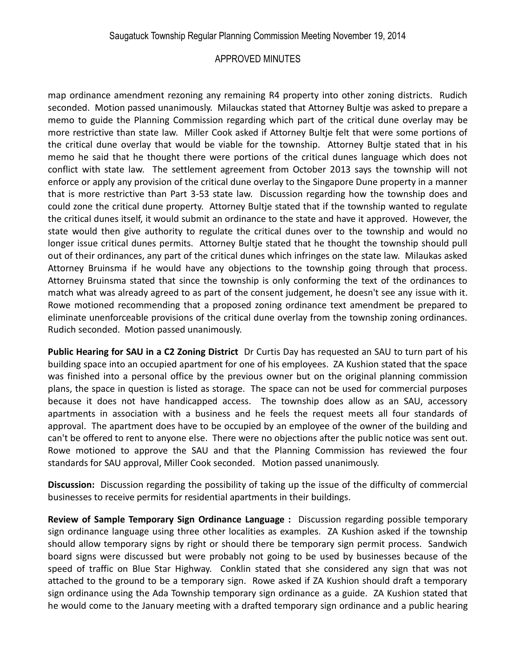# APPROVED MINUTES

map ordinance amendment rezoning any remaining R4 property into other zoning districts. Rudich seconded. Motion passed unanimously. Milauckas stated that Attorney Bultje was asked to prepare a memo to guide the Planning Commission regarding which part of the critical dune overlay may be more restrictive than state law. Miller Cook asked if Attorney Bultje felt that were some portions of the critical dune overlay that would be viable for the township. Attorney Bultje stated that in his memo he said that he thought there were portions of the critical dunes language which does not conflict with state law. The settlement agreement from October 2013 says the township will not enforce or apply any provision of the critical dune overlay to the Singapore Dune property in a manner that is more restrictive than Part 3-53 state law. Discussion regarding how the township does and could zone the critical dune property. Attorney Bultje stated that if the township wanted to regulate the critical dunes itself, it would submit an ordinance to the state and have it approved. However, the state would then give authority to regulate the critical dunes over to the township and would no longer issue critical dunes permits. Attorney Bultje stated that he thought the township should pull out of their ordinances, any part of the critical dunes which infringes on the state law. Milaukas asked Attorney Bruinsma if he would have any objections to the township going through that process. Attorney Bruinsma stated that since the township is only conforming the text of the ordinances to match what was already agreed to as part of the consent judgement, he doesn't see any issue with it. Rowe motioned recommending that a proposed zoning ordinance text amendment be prepared to eliminate unenforceable provisions of the critical dune overlay from the township zoning ordinances. Rudich seconded. Motion passed unanimously.

**Public Hearing for SAU in a C2 Zoning District** Dr Curtis Day has requested an SAU to turn part of his building space into an occupied apartment for one of his employees. ZA Kushion stated that the space was finished into a personal office by the previous owner but on the original planning commission plans, the space in question is listed as storage. The space can not be used for commercial purposes because it does not have handicapped access. The township does allow as an SAU, accessory apartments in association with a business and he feels the request meets all four standards of approval. The apartment does have to be occupied by an employee of the owner of the building and can't be offered to rent to anyone else. There were no objections after the public notice was sent out. Rowe motioned to approve the SAU and that the Planning Commission has reviewed the four standards for SAU approval, Miller Cook seconded. Motion passed unanimously.

**Discussion:** Discussion regarding the possibility of taking up the issue of the difficulty of commercial businesses to receive permits for residential apartments in their buildings.

**Review of Sample Temporary Sign Ordinance Language :** Discussion regarding possible temporary sign ordinance language using three other localities as examples. ZA Kushion asked if the township should allow temporary signs by right or should there be temporary sign permit process. Sandwich board signs were discussed but were probably not going to be used by businesses because of the speed of traffic on Blue Star Highway. Conklin stated that she considered any sign that was not attached to the ground to be a temporary sign. Rowe asked if ZA Kushion should draft a temporary sign ordinance using the Ada Township temporary sign ordinance as a guide. ZA Kushion stated that he would come to the January meeting with a drafted temporary sign ordinance and a public hearing